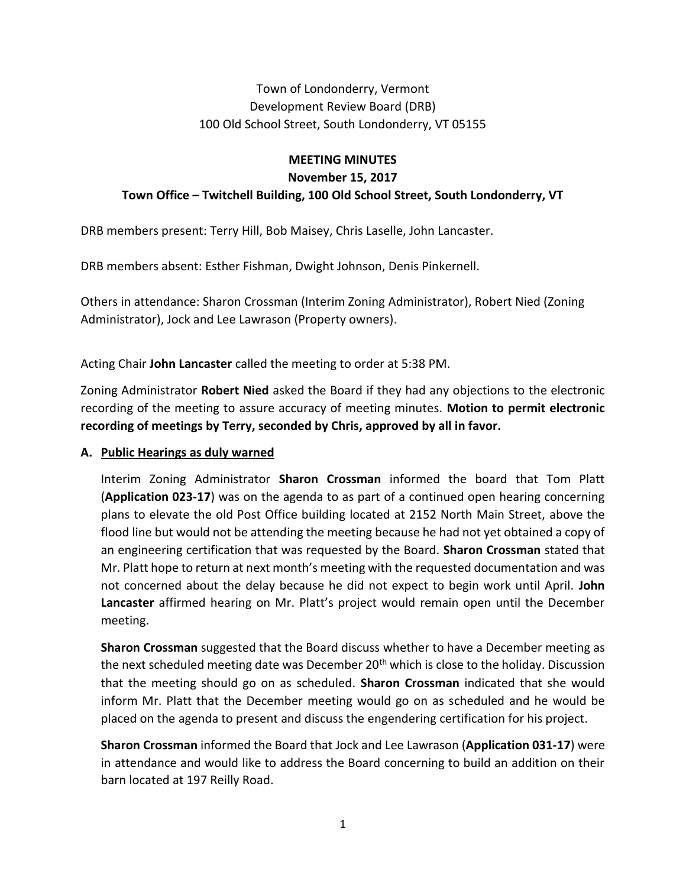# Town of Londonderry, Vermont Development Review Board (DRB) 100 Old School Street, South Londonderry, VT 05155

## **MEETING MINUTES November 15, 2017 Town Office – Twitchell Building, 100 Old School Street, South Londonderry, VT**

DRB members present: Terry Hill, Bob Maisey, Chris Laselle, John Lancaster.

DRB members absent: Esther Fishman, Dwight Johnson, Denis Pinkernell.

Others in attendance: Sharon Crossman (Interim Zoning Administrator), Robert Nied (Zoning Administrator), Jock and Lee Lawrason (Property owners).

Acting Chair **John Lancaster** called the meeting to order at 5:38 PM.

Zoning Administrator **Robert Nied** asked the Board if they had any objections to the electronic recording of the meeting to assure accuracy of meeting minutes. **Motion to permit electronic recording of meetings by Terry, seconded by Chris, approved by all in favor.**

### **A. Public Hearings as duly warned**

Interim Zoning Administrator **Sharon Crossman** informed the board that Tom Platt (**Application 023-17**) was on the agenda to as part of a continued open hearing concerning plans to elevate the old Post Office building located at 2152 North Main Street, above the flood line but would not be attending the meeting because he had not yet obtained a copy of an engineering certification that was requested by the Board. **Sharon Crossman** stated that Mr. Platt hope to return at next month's meeting with the requested documentation and was not concerned about the delay because he did not expect to begin work until April. **John Lancaster** affirmed hearing on Mr. Platt's project would remain open until the December meeting.

**Sharon Crossman** suggested that the Board discuss whether to have a December meeting as the next scheduled meeting date was December 20<sup>th</sup> which is close to the holiday. Discussion that the meeting should go on as scheduled. **Sharon Crossman** indicated that she would inform Mr. Platt that the December meeting would go on as scheduled and he would be placed on the agenda to present and discuss the engendering certification for his project.

**Sharon Crossman** informed the Board that Jock and Lee Lawrason (**Application 031-17**) were in attendance and would like to address the Board concerning to build an addition on their barn located at 197 Reilly Road.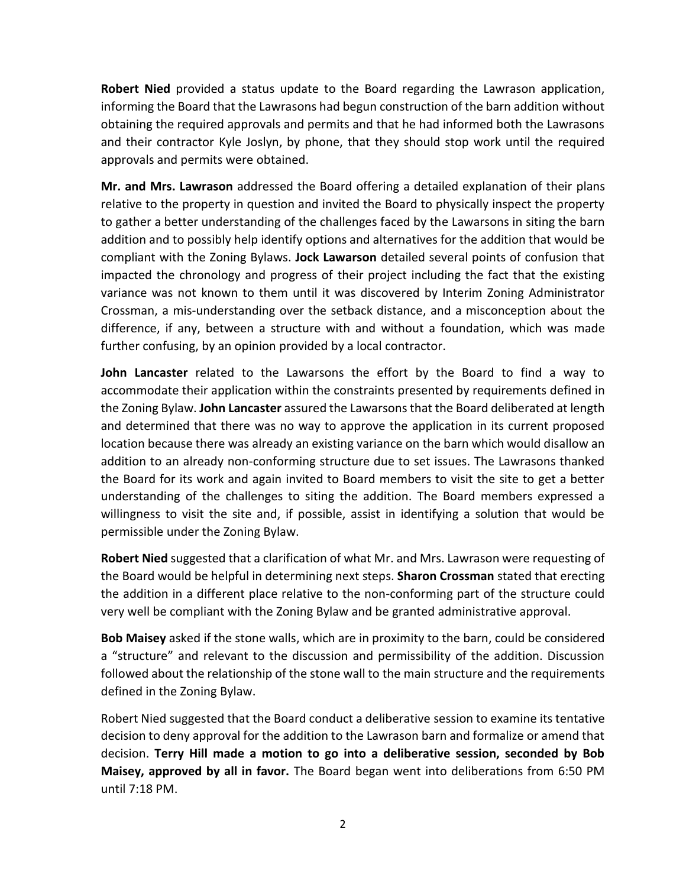**Robert Nied** provided a status update to the Board regarding the Lawrason application, informing the Board that the Lawrasons had begun construction of the barn addition without obtaining the required approvals and permits and that he had informed both the Lawrasons and their contractor Kyle Joslyn, by phone, that they should stop work until the required approvals and permits were obtained.

**Mr. and Mrs. Lawrason** addressed the Board offering a detailed explanation of their plans relative to the property in question and invited the Board to physically inspect the property to gather a better understanding of the challenges faced by the Lawarsons in siting the barn addition and to possibly help identify options and alternatives for the addition that would be compliant with the Zoning Bylaws. **Jock Lawarson** detailed several points of confusion that impacted the chronology and progress of their project including the fact that the existing variance was not known to them until it was discovered by Interim Zoning Administrator Crossman, a mis-understanding over the setback distance, and a misconception about the difference, if any, between a structure with and without a foundation, which was made further confusing, by an opinion provided by a local contractor.

**John Lancaster** related to the Lawarsons the effort by the Board to find a way to accommodate their application within the constraints presented by requirements defined in the Zoning Bylaw. **John Lancaster** assured the Lawarsons that the Board deliberated at length and determined that there was no way to approve the application in its current proposed location because there was already an existing variance on the barn which would disallow an addition to an already non-conforming structure due to set issues. The Lawrasons thanked the Board for its work and again invited to Board members to visit the site to get a better understanding of the challenges to siting the addition. The Board members expressed a willingness to visit the site and, if possible, assist in identifying a solution that would be permissible under the Zoning Bylaw.

**Robert Nied** suggested that a clarification of what Mr. and Mrs. Lawrason were requesting of the Board would be helpful in determining next steps. **Sharon Crossman** stated that erecting the addition in a different place relative to the non-conforming part of the structure could very well be compliant with the Zoning Bylaw and be granted administrative approval.

**Bob Maisey** asked if the stone walls, which are in proximity to the barn, could be considered a "structure" and relevant to the discussion and permissibility of the addition. Discussion followed about the relationship of the stone wall to the main structure and the requirements defined in the Zoning Bylaw.

Robert Nied suggested that the Board conduct a deliberative session to examine its tentative decision to deny approval for the addition to the Lawrason barn and formalize or amend that decision. **Terry Hill made a motion to go into a deliberative session, seconded by Bob Maisey, approved by all in favor.** The Board began went into deliberations from 6:50 PM until 7:18 PM.